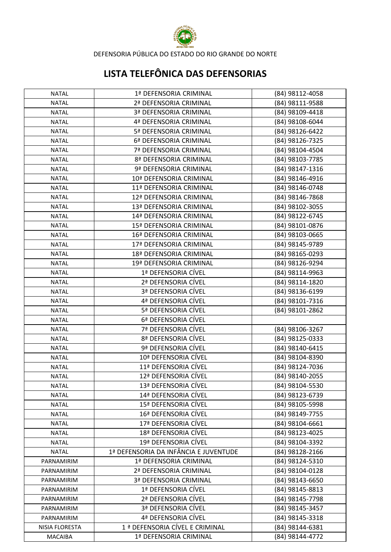

DEFENSORIA PÚBLICA DO ESTADO DO RIO GRANDE DO NORTE

## **LISTA TELEFÔNICA DAS DEFENSORIAS**

| NATAL          | 1ª DEFENSORIA CRIMINAL                     | (84) 98112-4058 |
|----------------|--------------------------------------------|-----------------|
| <b>NATAL</b>   | 2ª DEFENSORIA CRIMINAL                     | (84) 98111-9588 |
| <b>NATAL</b>   | 3ª DEFENSORIA CRIMINAL                     | (84) 98109-4418 |
| <b>NATAL</b>   | 4ª DEFENSORIA CRIMINAL                     | (84) 98108-6044 |
| <b>NATAL</b>   | 5ª DEFENSORIA CRIMINAL                     | (84) 98126-6422 |
| <b>NATAL</b>   | 6ª DEFENSORIA CRIMINAL                     | (84) 98126-7325 |
| <b>NATAL</b>   | 7ª DEFENSORIA CRIMINAL                     | (84) 98104-4504 |
| <b>NATAL</b>   | 8ª DEFENSORIA CRIMINAL                     | (84) 98103-7785 |
| <b>NATAL</b>   | 9ª DEFENSORIA CRIMINAL                     | (84) 98147-1316 |
| <b>NATAL</b>   | 10ª DEFENSORIA CRIMINAL                    | (84) 98146-4916 |
| <b>NATAL</b>   | 11ª DEFENSORIA CRIMINAL                    | (84) 98146-0748 |
| <b>NATAL</b>   | 12ª DEFENSORIA CRIMINAL                    | (84) 98146-7868 |
| <b>NATAL</b>   | 13ª DEFENSORIA CRIMINAL                    | (84) 98102-3055 |
| <b>NATAL</b>   | 14ª DEFENSORIA CRIMINAL                    | (84) 98122-6745 |
| <b>NATAL</b>   | 15ª DEFENSORIA CRIMINAL                    | (84) 98101-0876 |
| <b>NATAL</b>   | 16ª DEFENSORIA CRIMINAL                    | (84) 98103-0665 |
| <b>NATAL</b>   | 17ª DEFENSORIA CRIMINAL                    | (84) 98145-9789 |
| <b>NATAL</b>   | 18ª DEFENSORIA CRIMINAL                    | (84) 98165-0293 |
| <b>NATAL</b>   | 19ª DEFENSORIA CRIMINAL                    | (84) 98126-9294 |
| <b>NATAL</b>   | 1ª DEFENSORIA CÍVEL                        | (84) 98114-9963 |
| <b>NATAL</b>   | 2ª DEFENSORIA CÍVEL                        | (84) 98114-1820 |
| <b>NATAL</b>   | 3ª DEFENSORIA CÍVEL                        | (84) 98136-6199 |
| <b>NATAL</b>   | 4ª DEFENSORIA CÍVEL                        | (84) 98101-7316 |
| <b>NATAL</b>   | 5ª DEFENSORIA CÍVEL                        | (84) 98101-2862 |
| <b>NATAL</b>   | 6ª DEFENSORIA CÍVEL                        |                 |
| <b>NATAL</b>   | 7ª DEFENSORIA CÍVEL                        | (84) 98106-3267 |
| <b>NATAL</b>   | 8ª DEFENSORIA CÍVEL                        | (84) 98125-0333 |
| <b>NATAL</b>   | 9ª DEFENSORIA CÍVEL                        | (84) 98140-6415 |
| <b>NATAL</b>   | 10ª DEFENSORIA CÍVEL                       | (84) 98104-8390 |
| <b>NATAL</b>   | 11ª DEFENSORIA CÍVEL                       | (84) 98124-7036 |
| <b>NATAL</b>   | 12ª DEFENSORIA CÍVEL                       | (84) 98140-2055 |
| <b>NATAL</b>   | 13ª DEFENSORIA CÍVEL                       | (84) 98104-5530 |
| <b>NATAL</b>   | 14ª DEFENSORIA CÍVEL                       | (84) 98123-6739 |
| NATAL          | 15ª DEFENSORIA CÍVEL                       | (84) 98105-5998 |
| <b>NATAL</b>   | 16ª DEFENSORIA CÍVEL                       | (84) 98149-7755 |
| <b>NATAL</b>   | 17ª DEFENSORIA CÍVEL                       | (84) 98104-6661 |
| <b>NATAL</b>   | 18ª DEFENSORIA CÍVEL                       | (84) 98123-4025 |
| <b>NATAL</b>   | 19ª DEFENSORIA CÍVEL                       | (84) 98104-3392 |
| <b>NATAL</b>   | 1ª DEFENSORIA DA INFÂNCIA E JUVENTUDE      | (84) 98128-2166 |
| PARNAMIRIM     | 1ª DEFENSORIA CRIMINAL                     | (84) 98124-5310 |
| PARNAMIRIM     | 2ª DEFENSORIA CRIMINAL                     | (84) 98104-0128 |
| PARNAMIRIM     | 3ª DEFENSORIA CRIMINAL                     | (84) 98143-6650 |
| PARNAMIRIM     | 1ª DEFENSORIA CÍVEL                        | (84) 98145-8813 |
| PARNAMIRIM     | 2ª DEFENSORIA CÍVEL                        | (84) 98145-7798 |
| PARNAMIRIM     | 3ª DEFENSORIA CÍVEL                        | (84) 98145-3457 |
| PARNAMIRIM     | 4ª DEFENSORIA CÍVEL                        | (84) 98145-3318 |
| NISIA FLORESTA | 1 <sup>ª</sup> DEFENSORIA CÍVEL E CRIMINAL | (84) 98144-6381 |
| <b>MACAIBA</b> | 1ª DEFENSORIA CRIMINAL                     | (84) 98144-4772 |